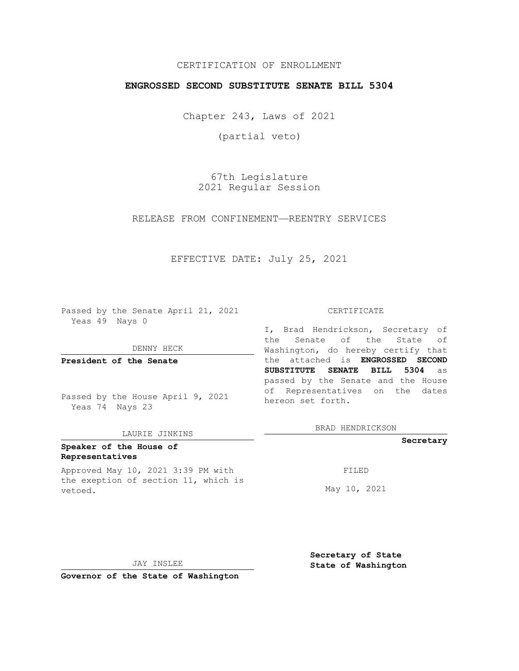## CERTIFICATION OF ENROLLMENT

## **ENGROSSED SECOND SUBSTITUTE SENATE BILL 5304**

Chapter 243, Laws of 2021

(partial veto)

67th Legislature 2021 Regular Session

## RELEASE FROM CONFINEMENT—REENTRY SERVICES

### EFFECTIVE DATE: July 25, 2021

Passed by the Senate April 21, 2021 Yeas 49 Nays 0

DENNY HECK

**President of the Senate**

Passed by the House April 9, 2021 Yeas 74 Nays 23

#### LAURIE JINKINS

# **Speaker of the House of Representatives**

Approved May 10, 2021 3:39 PM with the exeption of section 11, which is vetoed.

#### CERTIFICATE

I, Brad Hendrickson, Secretary of the Senate of the State of Washington, do hereby certify that the attached is **ENGROSSED SECOND SUBSTITUTE SENATE BILL 5304** as passed by the Senate and the House of Representatives on the dates hereon set forth.

BRAD HENDRICKSON

#### **Secretary**

FILED

May 10, 2021

JAY INSLEE

**Secretary of State State of Washington**

**Governor of the State of Washington**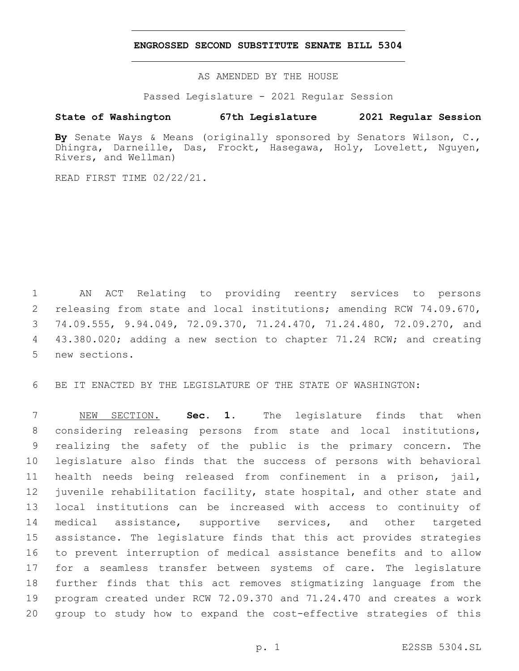## **ENGROSSED SECOND SUBSTITUTE SENATE BILL 5304**

AS AMENDED BY THE HOUSE

Passed Legislature - 2021 Regular Session

# **State of Washington 67th Legislature 2021 Regular Session**

**By** Senate Ways & Means (originally sponsored by Senators Wilson, C., Dhingra, Darneille, Das, Frockt, Hasegawa, Holy, Lovelett, Nguyen, Rivers, and Wellman)

READ FIRST TIME 02/22/21.

 AN ACT Relating to providing reentry services to persons releasing from state and local institutions; amending RCW 74.09.670, 74.09.555, 9.94.049, 72.09.370, 71.24.470, 71.24.480, 72.09.270, and 43.380.020; adding a new section to chapter 71.24 RCW; and creating 5 new sections.

BE IT ENACTED BY THE LEGISLATURE OF THE STATE OF WASHINGTON:

 NEW SECTION. **Sec. 1.** The legislature finds that when considering releasing persons from state and local institutions, realizing the safety of the public is the primary concern. The legislature also finds that the success of persons with behavioral health needs being released from confinement in a prison, jail, juvenile rehabilitation facility, state hospital, and other state and local institutions can be increased with access to continuity of medical assistance, supportive services, and other targeted assistance. The legislature finds that this act provides strategies to prevent interruption of medical assistance benefits and to allow for a seamless transfer between systems of care. The legislature further finds that this act removes stigmatizing language from the program created under RCW 72.09.370 and 71.24.470 and creates a work group to study how to expand the cost-effective strategies of this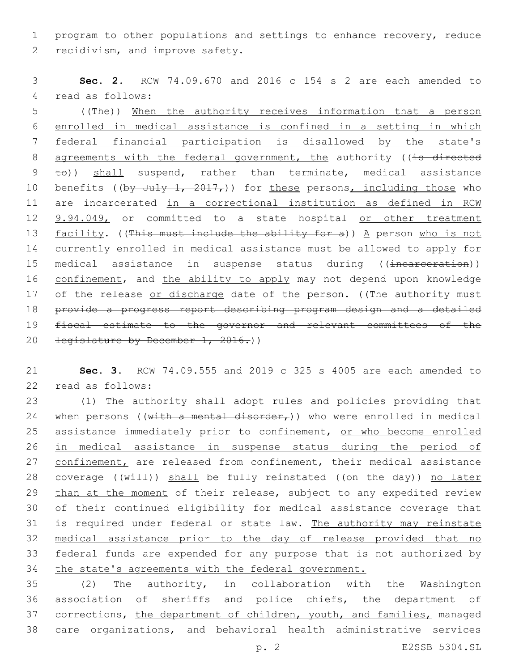1 program to other populations and settings to enhance recovery, reduce 2 recidivism, and improve safety.

3 **Sec. 2.** RCW 74.09.670 and 2016 c 154 s 2 are each amended to 4 read as follows:

5 ((The)) When the authority receives information that a person 6 enrolled in medical assistance is confined in a setting in which 7 federal financial participation is disallowed by the state's 8 agreements with the federal government, the authority ((is directed 9 to)) shall suspend, rather than terminate, medical assistance 10 benefits ((by July 1, 2017,)) for these persons, including those who 11 are incarcerated in a correctional institution as defined in RCW 12 9.94.049, or committed to a state hospital or other treatment 13 facility. ((This must include the ability for a)) A person who is not 14 currently enrolled in medical assistance must be allowed to apply for 15 medical assistance in suspense status during ((incarceration)) 16 confinement, and the ability to apply may not depend upon knowledge 17 of the release or discharge date of the person. ((The authority must 18 provide a progress report describing program design and a detailed 19 fiscal estimate to the governor and relevant committees of the 20 <del>legislature by December 1, 2016.</del>))

21 **Sec. 3.** RCW 74.09.555 and 2019 c 325 s 4005 are each amended to 22 read as follows:

23 (1) The authority shall adopt rules and policies providing that 24 when persons ((with a mental disorder,)) who were enrolled in medical 25 assistance immediately prior to confinement, or who become enrolled 26 in medical assistance in suspense status during the period of 27 confinement, are released from confinement, their medical assistance 28 coverage  $((\text{with})$  shall be fully reinstated  $((\text{on the day}))$  no later 29 than at the moment of their release, subject to any expedited review 30 of their continued eligibility for medical assistance coverage that 31 is required under federal or state law. The authority may reinstate 32 medical assistance prior to the day of release provided that no 33 federal funds are expended for any purpose that is not authorized by 34 the state's agreements with the federal government.

 (2) The authority, in collaboration with the Washington association of sheriffs and police chiefs, the department of 37 corrections, the department of children, youth, and families, managed care organizations, and behavioral health administrative services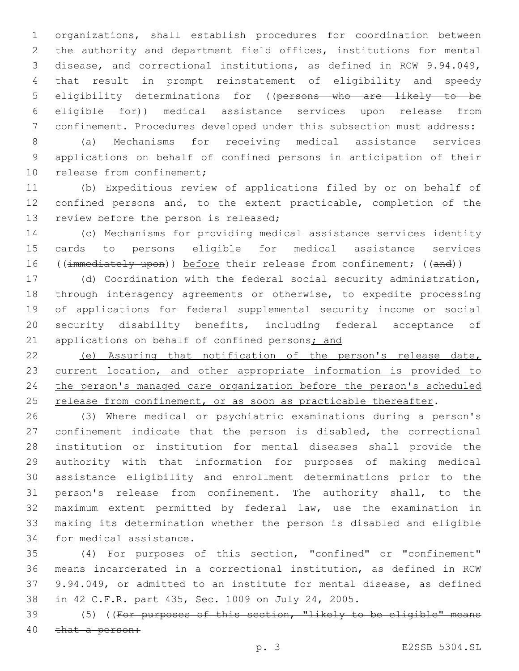organizations, shall establish procedures for coordination between the authority and department field offices, institutions for mental disease, and correctional institutions, as defined in RCW 9.94.049, that result in prompt reinstatement of eligibility and speedy eligibility determinations for ((persons who are likely to be eligible for)) medical assistance services upon release from confinement. Procedures developed under this subsection must address:

 (a) Mechanisms for receiving medical assistance services applications on behalf of confined persons in anticipation of their 10 release from confinement;

 (b) Expeditious review of applications filed by or on behalf of confined persons and, to the extent practicable, completion of the 13 review before the person is released;

 (c) Mechanisms for providing medical assistance services identity cards to persons eligible for medical assistance services 16 ((immediately upon)) before their release from confinement; ((and))

 (d) Coordination with the federal social security administration, through interagency agreements or otherwise, to expedite processing of applications for federal supplemental security income or social security disability benefits, including federal acceptance of 21 applications on behalf of confined persons; and

 (e) Assuring that notification of the person's release date, 23 current location, and other appropriate information is provided to the person's managed care organization before the person's scheduled 25 release from confinement, or as soon as practicable thereafter.

 (3) Where medical or psychiatric examinations during a person's confinement indicate that the person is disabled, the correctional institution or institution for mental diseases shall provide the authority with that information for purposes of making medical assistance eligibility and enrollment determinations prior to the person's release from confinement. The authority shall, to the maximum extent permitted by federal law, use the examination in making its determination whether the person is disabled and eligible 34 for medical assistance.

 (4) For purposes of this section, "confined" or "confinement" means incarcerated in a correctional institution, as defined in RCW 9.94.049, or admitted to an institute for mental disease, as defined in 42 C.F.R. part 435, Sec. 1009 on July 24, 2005.

 (5) ((For purposes of this section, "likely to be eligible" means 40 that a person: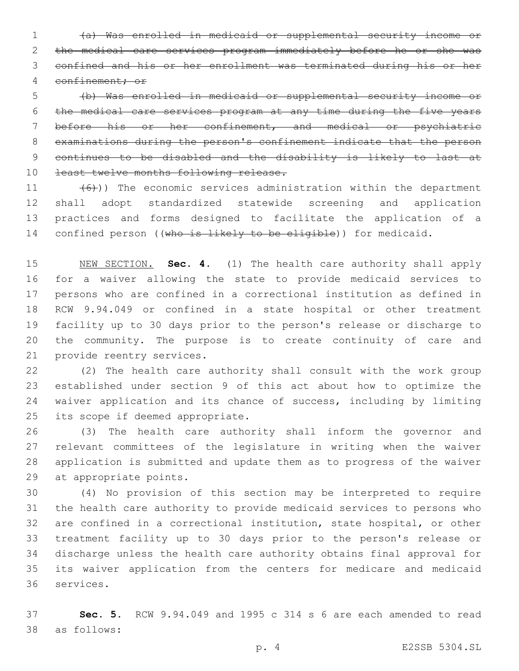(a) Was enrolled in medicaid or supplemental security income or the medical care services program immediately before he or she was confined and his or her enrollment was terminated during his or her confinement; or

 (b) Was enrolled in medicaid or supplemental security income or the medical care services program at any time during the five years before his or her confinement, and medical or psychiatric examinations during the person's confinement indicate that the person continues to be disabled and the disability is likely to last at 10 least twelve months following release.

 $(6)$ )) The economic services administration within the department shall adopt standardized statewide screening and application practices and forms designed to facilitate the application of a 14 confined person ((who is likely to be eligible)) for medicaid.

 NEW SECTION. **Sec. 4.** (1) The health care authority shall apply for a waiver allowing the state to provide medicaid services to persons who are confined in a correctional institution as defined in RCW 9.94.049 or confined in a state hospital or other treatment facility up to 30 days prior to the person's release or discharge to the community. The purpose is to create continuity of care and provide reentry services.

 (2) The health care authority shall consult with the work group established under section 9 of this act about how to optimize the waiver application and its chance of success, including by limiting 25 its scope if deemed appropriate.

 (3) The health care authority shall inform the governor and relevant committees of the legislature in writing when the waiver application is submitted and update them as to progress of the waiver 29 at appropriate points.

 (4) No provision of this section may be interpreted to require the health care authority to provide medicaid services to persons who are confined in a correctional institution, state hospital, or other treatment facility up to 30 days prior to the person's release or discharge unless the health care authority obtains final approval for its waiver application from the centers for medicare and medicaid 36 services.

 **Sec. 5.** RCW 9.94.049 and 1995 c 314 s 6 are each amended to read as follows:38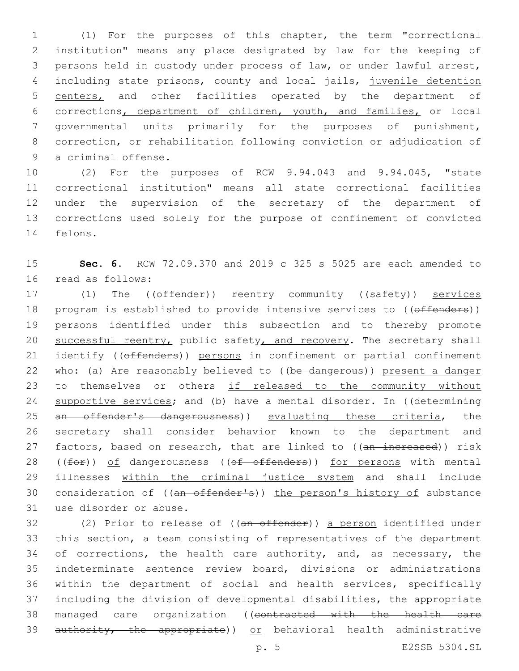(1) For the purposes of this chapter, the term "correctional institution" means any place designated by law for the keeping of persons held in custody under process of law, or under lawful arrest, including state prisons, county and local jails, juvenile detention 5 centers, and other facilities operated by the department of corrections, department of children, youth, and families, or local governmental units primarily for the purposes of punishment, 8 correction, or rehabilitation following conviction or adjudication of 9 a criminal offense.

 (2) For the purposes of RCW 9.94.043 and 9.94.045, "state correctional institution" means all state correctional facilities under the supervision of the secretary of the department of corrections used solely for the purpose of confinement of convicted 14 felons.

15 **Sec. 6.** RCW 72.09.370 and 2019 c 325 s 5025 are each amended to 16 read as follows:

17 (1) The ((offender)) reentry community ((safety)) services 18 program is established to provide intensive services to ((offenders)) 19 persons identified under this subsection and to thereby promote 20 successful reentry, public safety, and recovery. The secretary shall 21 identify ((offenders)) persons in confinement or partial confinement 22 who: (a) Are reasonably believed to ((be dangerous)) present a danger 23 to themselves or others if released to the community without 24 supportive services; and (b) have a mental disorder. In ((determining 25 an offender's dangerousness)) evaluating these criteria, the 26 secretary shall consider behavior known to the department and 27 factors, based on research, that are linked to ((an increased)) risk 28 ((for)) of dangerousness ((of offenders)) for persons with mental 29 illnesses within the criminal justice system and shall include 30 consideration of ((an offender's)) the person's history of substance 31 use disorder or abuse.

32 (2) Prior to release of ((an offender)) a person identified under 33 this section, a team consisting of representatives of the department 34 of corrections, the health care authority, and, as necessary, the 35 indeterminate sentence review board, divisions or administrations 36 within the department of social and health services, specifically 37 including the division of developmental disabilities, the appropriate 38 managed care organization ((contracted with the health care 39 authority, the appropriate)) or behavioral health administrative

p. 5 E2SSB 5304.SL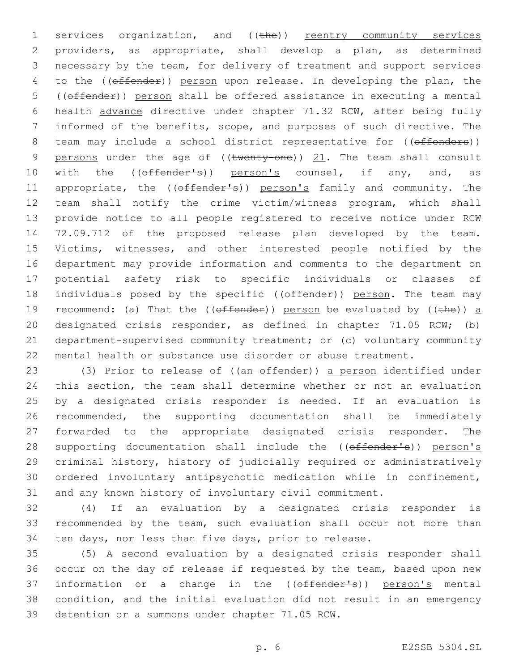1 services organization, and ((the)) reentry community services providers, as appropriate, shall develop a plan, as determined necessary by the team, for delivery of treatment and support services 4 to the ((offender)) person upon release. In developing the plan, the ((offender)) person shall be offered assistance in executing a mental health advance directive under chapter 71.32 RCW, after being fully informed of the benefits, scope, and purposes of such directive. The 8 team may include a school district representative for ((offenders)) 9 persons under the age of  $((\text{twenty-one}))$   $21$ . The team shall consult 10 with the ((offender's)) person's counsel, if any, and, as 11 appropriate, the ((offender's)) person's family and community. The team shall notify the crime victim/witness program, which shall provide notice to all people registered to receive notice under RCW 72.09.712 of the proposed release plan developed by the team. Victims, witnesses, and other interested people notified by the department may provide information and comments to the department on potential safety risk to specific individuals or classes of 18 individuals posed by the specific ((offender)) person. The team may 19 recommend: (a) That the (( $\theta$ ffender)) person be evaluated by (( $\theta$ )) a designated crisis responder, as defined in chapter 71.05 RCW; (b) department-supervised community treatment; or (c) voluntary community mental health or substance use disorder or abuse treatment.

23 (3) Prior to release of ((an offender)) a person identified under this section, the team shall determine whether or not an evaluation by a designated crisis responder is needed. If an evaluation is recommended, the supporting documentation shall be immediately forwarded to the appropriate designated crisis responder. The 28 supporting documentation shall include the ((offender's)) person's criminal history, history of judicially required or administratively ordered involuntary antipsychotic medication while in confinement, and any known history of involuntary civil commitment.

 (4) If an evaluation by a designated crisis responder is recommended by the team, such evaluation shall occur not more than ten days, nor less than five days, prior to release.

 (5) A second evaluation by a designated crisis responder shall occur on the day of release if requested by the team, based upon new 37 information or a change in the ((offender's)) person's mental condition, and the initial evaluation did not result in an emergency 39 detention or a summons under chapter 71.05 RCW.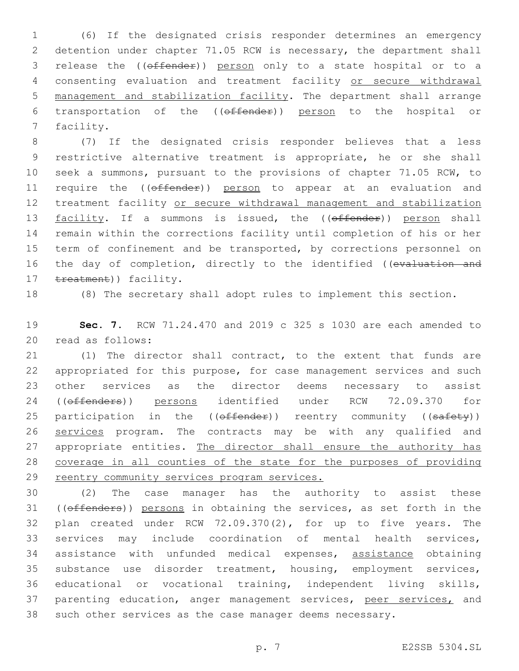(6) If the designated crisis responder determines an emergency detention under chapter 71.05 RCW is necessary, the department shall release the ((offender)) person only to a state hospital or to a consenting evaluation and treatment facility or secure withdrawal management and stabilization facility. The department shall arrange transportation of the ((offender)) person to the hospital or 7 facility.

 (7) If the designated crisis responder believes that a less restrictive alternative treatment is appropriate, he or she shall seek a summons, pursuant to the provisions of chapter 71.05 RCW, to 11 require the ((offender)) person to appear at an evaluation and treatment facility or secure withdrawal management and stabilization 13 facility. If a summons is issued, the ((offender)) person shall remain within the corrections facility until completion of his or her 15 term of confinement and be transported, by corrections personnel on 16 the day of completion, directly to the identified ((evaluation and 17 treatment)) facility.

(8) The secretary shall adopt rules to implement this section.

 **Sec. 7.** RCW 71.24.470 and 2019 c 325 s 1030 are each amended to 20 read as follows:

 (1) The director shall contract, to the extent that funds are appropriated for this purpose, for case management services and such other services as the director deems necessary to assist 24 ((offenders)) persons identified under RCW 72.09.370 for 25 participation in the ((offender)) reentry community ((safety)) 26 services program. The contracts may be with any qualified and 27 appropriate entities. The director shall ensure the authority has coverage in all counties of the state for the purposes of providing 29 reentry community services program services.

 (2) The case manager has the authority to assist these 31 ((offenders)) persons in obtaining the services, as set forth in the plan created under RCW 72.09.370(2), for up to five years. The services may include coordination of mental health services, assistance with unfunded medical expenses, assistance obtaining substance use disorder treatment, housing, employment services, educational or vocational training, independent living skills, 37 parenting education, anger management services, peer services, and such other services as the case manager deems necessary.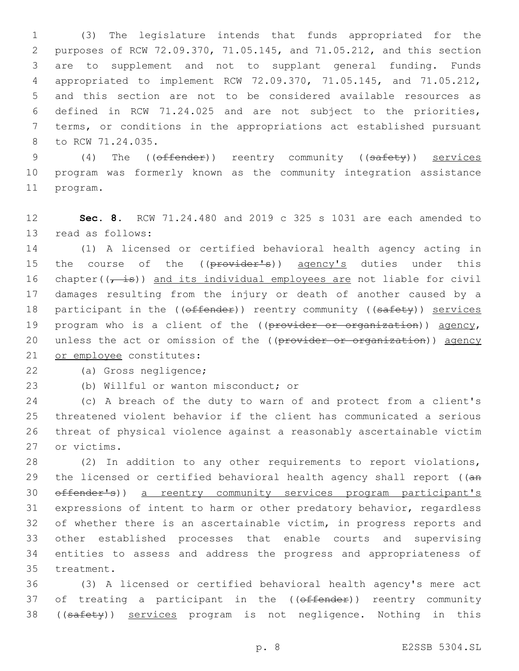(3) The legislature intends that funds appropriated for the purposes of RCW 72.09.370, 71.05.145, and 71.05.212, and this section are to supplement and not to supplant general funding. Funds appropriated to implement RCW 72.09.370, 71.05.145, and 71.05.212, and this section are not to be considered available resources as defined in RCW 71.24.025 and are not subject to the priorities, terms, or conditions in the appropriations act established pursuant 8 to RCW 71.24.035.

9 (4) The (( $\theta$ ffender)) reentry community (( $\theta$ afety)) services 10 program was formerly known as the community integration assistance 11 program.

12 **Sec. 8.** RCW 71.24.480 and 2019 c 325 s 1031 are each amended to 13 read as follows:

14 (1) A licensed or certified behavioral health agency acting in 15 the course of the ((provider's)) agency's duties under this 16 chapter( $(\frac{1}{t} + \frac{1}{t})$ ) and its individual employees are not liable for civil 17 damages resulting from the injury or death of another caused by a 18 participant in the ((offender)) reentry community ((safety)) services 19 program who is a client of the ((provider or organization)) agency, 20 unless the act or omission of the ((provider or organization)) agency 21 or employee constitutes:

22 (a) Gross negligence;

23 (b) Willful or wanton misconduct; or

 (c) A breach of the duty to warn of and protect from a client's threatened violent behavior if the client has communicated a serious threat of physical violence against a reasonably ascertainable victim 27 or victims.

 (2) In addition to any other requirements to report violations, 29 the licensed or certified behavioral health agency shall report ((an offender's)) a reentry community services program participant's expressions of intent to harm or other predatory behavior, regardless 32 of whether there is an ascertainable victim, in progress reports and other established processes that enable courts and supervising entities to assess and address the progress and appropriateness of 35 treatment.

36 (3) A licensed or certified behavioral health agency's mere act 37 of treating a participant in the (( $\theta$ ffender)) reentry community 38 ((safety)) services program is not negligence. Nothing in this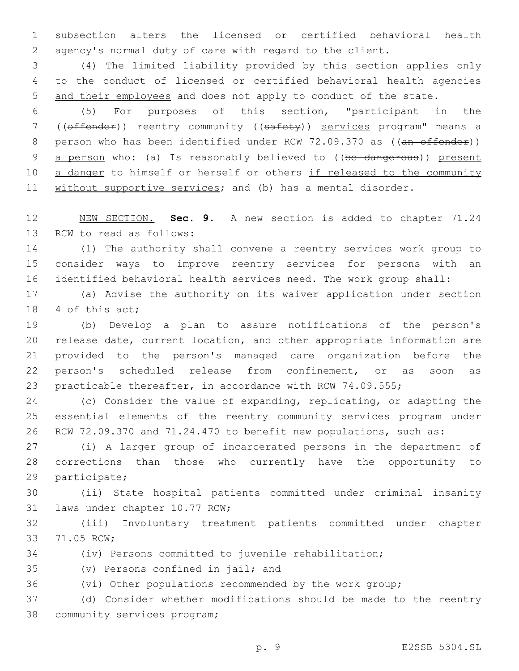subsection alters the licensed or certified behavioral health agency's normal duty of care with regard to the client.

 (4) The limited liability provided by this section applies only to the conduct of licensed or certified behavioral health agencies and their employees and does not apply to conduct of the state.

 (5) For purposes of this section, "participant in the ((offender)) reentry community ((safety)) services program" means a 8 person who has been identified under RCW 72.09.370 as ((an offender)) 9 a person who: (a) Is reasonably believed to ((be dangerous)) present 10 a danger to himself or herself or others if released to the community 11 without supportive services; and (b) has a mental disorder.

 NEW SECTION. **Sec. 9.** A new section is added to chapter 71.24 13 RCW to read as follows:

 (1) The authority shall convene a reentry services work group to consider ways to improve reentry services for persons with an identified behavioral health services need. The work group shall:

 (a) Advise the authority on its waiver application under section 18 4 of this act;

 (b) Develop a plan to assure notifications of the person's release date, current location, and other appropriate information are provided to the person's managed care organization before the person's scheduled release from confinement, or as soon as practicable thereafter, in accordance with RCW 74.09.555;

 (c) Consider the value of expanding, replicating, or adapting the essential elements of the reentry community services program under RCW 72.09.370 and 71.24.470 to benefit new populations, such as:

 (i) A larger group of incarcerated persons in the department of corrections than those who currently have the opportunity to 29 participate;

 (ii) State hospital patients committed under criminal insanity 31 laws under chapter 10.77 RCW;

 (iii) Involuntary treatment patients committed under chapter 33 71.05 RCW;

(iv) Persons committed to juvenile rehabilitation;

35 (v) Persons confined in jail; and

(vi) Other populations recommended by the work group;

 (d) Consider whether modifications should be made to the reentry 38 community services program;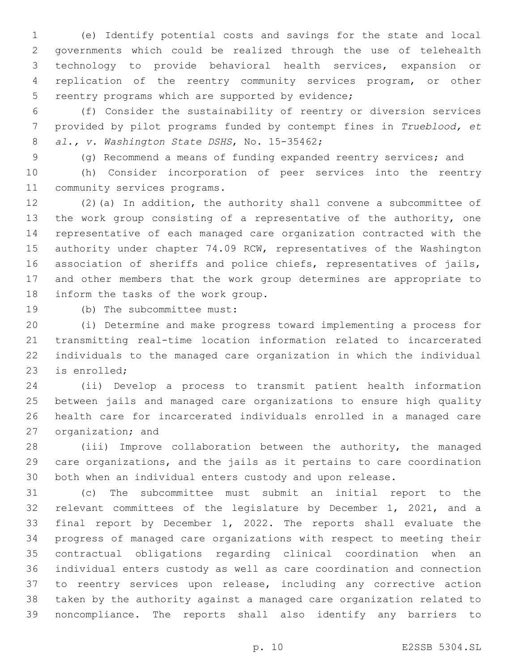(e) Identify potential costs and savings for the state and local governments which could be realized through the use of telehealth technology to provide behavioral health services, expansion or replication of the reentry community services program, or other 5 reentry programs which are supported by evidence;

 (f) Consider the sustainability of reentry or diversion services provided by pilot programs funded by contempt fines in *Trueblood, et al., v. Washington State DSHS*, No. 15-35462;8

(g) Recommend a means of funding expanded reentry services; and

 (h) Consider incorporation of peer services into the reentry 11 community services programs.

 (2)(a) In addition, the authority shall convene a subcommittee of the work group consisting of a representative of the authority, one representative of each managed care organization contracted with the authority under chapter 74.09 RCW, representatives of the Washington association of sheriffs and police chiefs, representatives of jails, and other members that the work group determines are appropriate to 18 inform the tasks of the work group.

19 (b) The subcommittee must:

 (i) Determine and make progress toward implementing a process for transmitting real-time location information related to incarcerated individuals to the managed care organization in which the individual 23 is enrolled;

 (ii) Develop a process to transmit patient health information between jails and managed care organizations to ensure high quality health care for incarcerated individuals enrolled in a managed care 27 organization; and

 (iii) Improve collaboration between the authority, the managed care organizations, and the jails as it pertains to care coordination both when an individual enters custody and upon release.

 (c) The subcommittee must submit an initial report to the relevant committees of the legislature by December 1, 2021, and a final report by December 1, 2022. The reports shall evaluate the progress of managed care organizations with respect to meeting their contractual obligations regarding clinical coordination when an individual enters custody as well as care coordination and connection to reentry services upon release, including any corrective action taken by the authority against a managed care organization related to noncompliance. The reports shall also identify any barriers to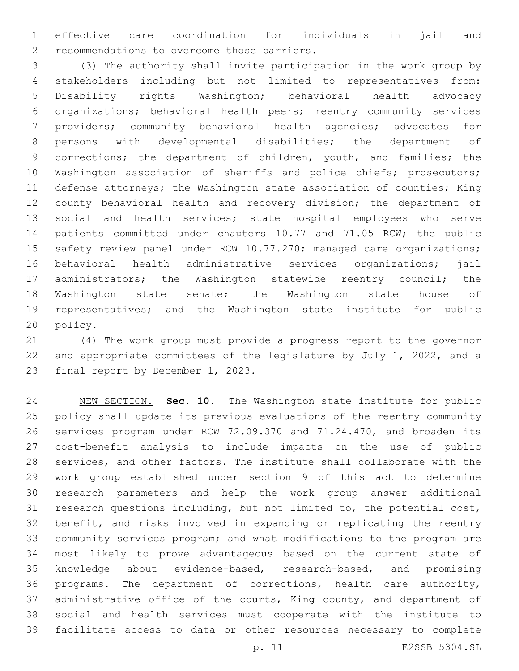effective care coordination for individuals in jail and 2 recommendations to overcome those barriers.

 (3) The authority shall invite participation in the work group by stakeholders including but not limited to representatives from: Disability rights Washington; behavioral health advocacy organizations; behavioral health peers; reentry community services providers; community behavioral health agencies; advocates for persons with developmental disabilities; the department of 9 corrections; the department of children, youth, and families; the 10 Washington association of sheriffs and police chiefs; prosecutors; defense attorneys; the Washington state association of counties; King county behavioral health and recovery division; the department of social and health services; state hospital employees who serve patients committed under chapters 10.77 and 71.05 RCW; the public 15 safety review panel under RCW 10.77.270; managed care organizations; behavioral health administrative services organizations; jail 17 administrators; the Washington statewide reentry council; the Washington state senate; the Washington state house of representatives; and the Washington state institute for public 20 policy.

 (4) The work group must provide a progress report to the governor and appropriate committees of the legislature by July 1, 2022, and a 23 final report by December 1, 2023.

 NEW SECTION. **Sec. 10.** The Washington state institute for public policy shall update its previous evaluations of the reentry community services program under RCW 72.09.370 and 71.24.470, and broaden its cost-benefit analysis to include impacts on the use of public services, and other factors. The institute shall collaborate with the work group established under section 9 of this act to determine research parameters and help the work group answer additional research questions including, but not limited to, the potential cost, benefit, and risks involved in expanding or replicating the reentry community services program; and what modifications to the program are most likely to prove advantageous based on the current state of knowledge about evidence-based, research-based, and promising programs. The department of corrections, health care authority, 37 administrative office of the courts, King county, and department of social and health services must cooperate with the institute to facilitate access to data or other resources necessary to complete

p. 11 E2SSB 5304.SL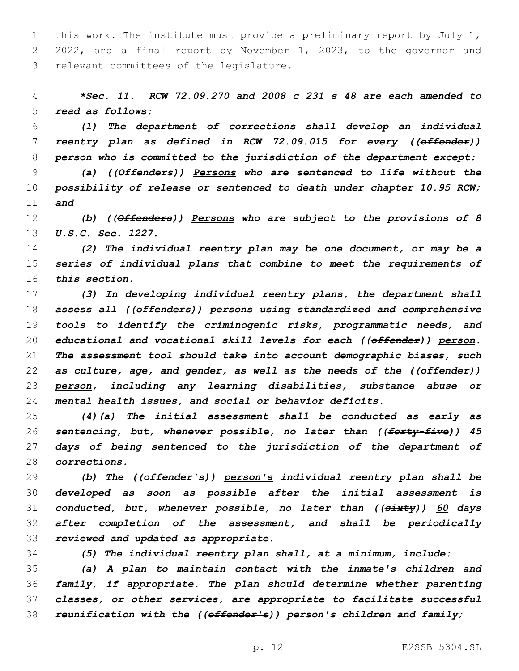this work. The institute must provide a preliminary report by July 1, 2022, and a final report by November 1, 2023, to the governor and 3 relevant committees of the legislature.

 *\*Sec. 11. RCW 72.09.270 and 2008 c 231 s 48 are each amended to read as follows:*

 *(1) The department of corrections shall develop an individual reentry plan as defined in RCW 72.09.015 for every ((offender)) person who is committed to the jurisdiction of the department except:*

 *(a) ((Offenders)) Persons who are sentenced to life without the possibility of release or sentenced to death under chapter 10.95 RCW; and*

 *(b) ((Offenders)) Persons who are subject to the provisions of 8 U.S.C. Sec. 1227.*

 *(2) The individual reentry plan may be one document, or may be a series of individual plans that combine to meet the requirements of this section.*

 *(3) In developing individual reentry plans, the department shall assess all ((offenders)) persons using standardized and comprehensive tools to identify the criminogenic risks, programmatic needs, and educational and vocational skill levels for each ((offender)) person. The assessment tool should take into account demographic biases, such as culture, age, and gender, as well as the needs of the ((offender)) person, including any learning disabilities, substance abuse or mental health issues, and social or behavior deficits.*

 *(4)(a) The initial assessment shall be conducted as early as sentencing, but, whenever possible, no later than ((forty-five)) 45 days of being sentenced to the jurisdiction of the department of corrections.*

 *(b) The ((offender's)) person's individual reentry plan shall be developed as soon as possible after the initial assessment is conducted, but, whenever possible, no later than ((sixty)) 60 days after completion of the assessment, and shall be periodically reviewed and updated as appropriate.*

*(5) The individual reentry plan shall, at a minimum, include:*

 *(a) A plan to maintain contact with the inmate's children and family, if appropriate. The plan should determine whether parenting classes, or other services, are appropriate to facilitate successful reunification with the ((offender's)) person's children and family;*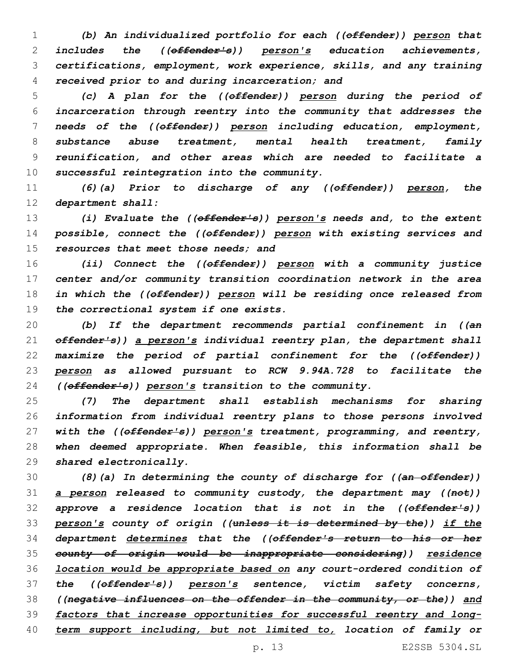*(b) An individualized portfolio for each ((offender)) person that includes the ((offender's)) person's education achievements, certifications, employment, work experience, skills, and any training received prior to and during incarceration; and*

 *(c) A plan for the ((offender)) person during the period of incarceration through reentry into the community that addresses the needs of the ((offender)) person including education, employment, substance abuse treatment, mental health treatment, family reunification, and other areas which are needed to facilitate a successful reintegration into the community.*

 *(6)(a) Prior to discharge of any ((offender)) person, the department shall:*

 *(i) Evaluate the ((offender's)) person's needs and, to the extent possible, connect the ((offender)) person with existing services and resources that meet those needs; and*

 *(ii) Connect the ((offender)) person with a community justice center and/or community transition coordination network in the area in which the ((offender)) person will be residing once released from the correctional system if one exists.*

 *(b) If the department recommends partial confinement in ((an offender's)) a person's individual reentry plan, the department shall maximize the period of partial confinement for the ((offender)) person as allowed pursuant to RCW 9.94A.728 to facilitate the ((offender's)) person's transition to the community.*

 *(7) The department shall establish mechanisms for sharing information from individual reentry plans to those persons involved with the ((offender's)) person's treatment, programming, and reentry, when deemed appropriate. When feasible, this information shall be shared electronically.*

 *(8)(a) In determining the county of discharge for ((an offender)) a person released to community custody, the department may ((not)) approve a residence location that is not in the ((offender's)) person's county of origin ((unless it is determined by the)) if the department determines that the ((offender's return to his or her county of origin would be inappropriate considering)) residence location would be appropriate based on any court-ordered condition of the ((offender's)) person's sentence, victim safety concerns, ((negative influences on the offender in the community, or the)) and factors that increase opportunities for successful reentry and long-term support including, but not limited to, location of family or*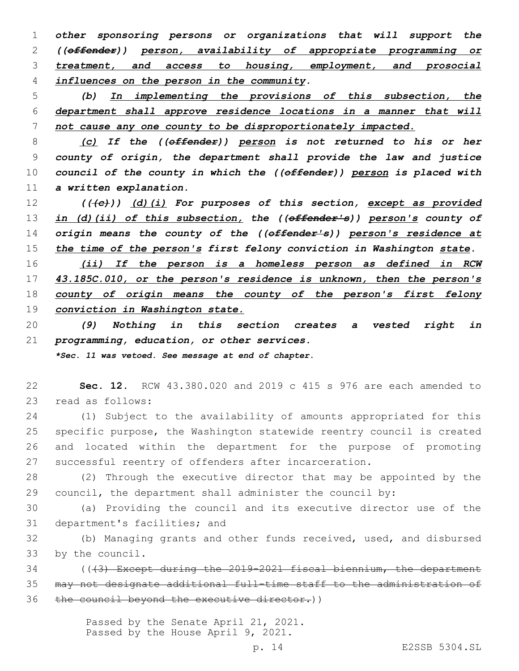*other sponsoring persons or organizations that will support the ((offender)) person, availability of appropriate programming or treatment, and access to housing, employment, and prosocial influences on the person in the community.*

 *(b) In implementing the provisions of this subsection, the department shall approve residence locations in a manner that will not cause any one county to be disproportionately impacted.*

 *(c) If the ((offender)) person is not returned to his or her county of origin, the department shall provide the law and justice council of the county in which the ((offender)) person is placed with a written explanation.*

 *(((c))) (d)(i) For purposes of this section, except as provided in (d)(ii) of this subsection, the ((offender's)) person's county of origin means the county of the ((offender's)) person's residence at the time of the person's first felony conviction in Washington state.*

 *(ii) If the person is a homeless person as defined in RCW 43.185C.010, or the person's residence is unknown, then the person's county of origin means the county of the person's first felony conviction in Washington state.*

 *(9) Nothing in this section creates a vested right in programming, education, or other services.*

*\*Sec. 11 was vetoed. See message at end of chapter.*

 **Sec. 12.** RCW 43.380.020 and 2019 c 415 s 976 are each amended to 23 read as follows:

 (1) Subject to the availability of amounts appropriated for this specific purpose, the Washington statewide reentry council is created and located within the department for the purpose of promoting successful reentry of offenders after incarceration.

 (2) Through the executive director that may be appointed by the council, the department shall administer the council by:

 (a) Providing the council and its executive director use of the 31 department's facilities; and

 (b) Managing grants and other funds received, used, and disbursed 33 by the council.

 (((3) Except during the 2019-2021 fiscal biennium, the department may not designate additional full-time staff to the administration of 36 the council beyond the executive director.)

> Passed by the Senate April 21, 2021. Passed by the House April 9, 2021.